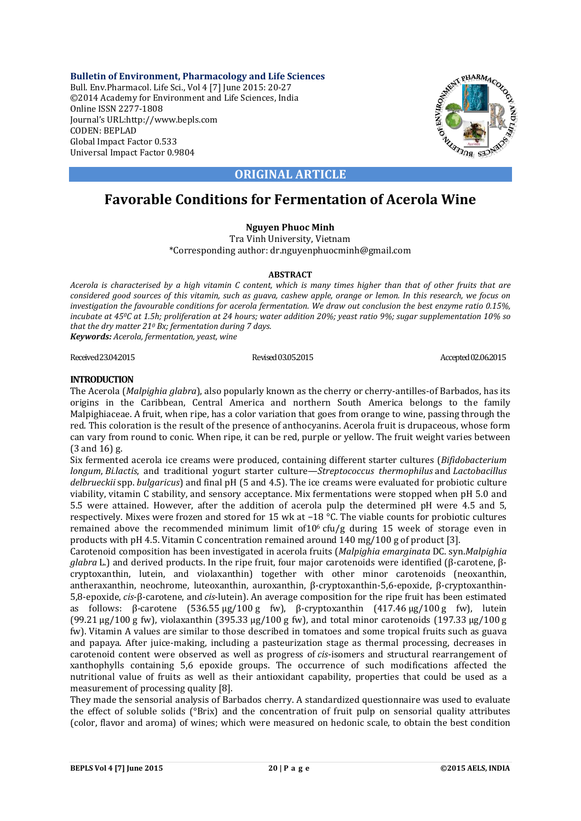**Bulletin of Environment, Pharmacology and Life Sciences** Bull. Env.Pharmacol. Life Sci., Vol 4 [7] June 2015: 20-27 ©2014 Academy for Environment and Life Sciences, India Online ISSN 2277-1808 Journal's URL:http://www.bepls.com CODEN: BEPLAD Global Impact Factor 0.533 Universal Impact Factor 0.9804



## **ORIGINAL ARTICLE**

# **Favorable Conditions for Fermentation of Acerola Wine**

## **Nguyen Phuoc Minh**

Tra Vinh University, Vietnam \*Corresponding author: dr.nguyenphuocminh@gmail.com

#### **ABSTRACT**

*Acerola is characterised by a high vitamin C content, which is many times higher than that of other fruits that are considered good sources of this vitamin, such as guava, cashew apple, orange or lemon. In this research, we focus on investigation the favourable conditions for acerola fermentation. We draw out conclusion the best enzyme ratio 0.15%, incubate at 450C at 1.5h; proliferation at 24 hours; water addition 20%; yeast ratio 9%; sugar supplementation 10% so that the dry matter 210 Bx; fermentation during 7 days.*

*Keywords: Acerola, fermentation, yeast, wine*

Received 23.04.2015 Revised 03.05.2015 Revised 03.05.2015 Accepted 02.06.2015

## **INTRODUCTION**

The Acerola (*Malpighia glabra*), also popularly known as the cherry or cherry-antilles-of Barbados, has its origins in the Caribbean, Central America and northern South America belongs to the family Malpighiaceae. A fruit, when ripe, has a color variation that goes from orange to wine, passing through the red. This coloration is the result of the presence of anthocyanins. Acerola fruit is drupaceous, whose form can vary from round to conic. When ripe, it can be red, purple or yellow. The fruit weight varies between  $(3 \text{ and } 16)$  g.

Six fermented acerola ice creams were produced, containing different starter cultures (*Bifidobacterium longum*, *Bi.lactis*, and traditional yogurt starter culture—*Streptococcus thermophilus* and *Lactobacillus delbrueckii* spp. *bulgaricus*) and final pH (5 and 4.5). The ice creams were evaluated for probiotic culture viability, vitamin C stability, and sensory acceptance. Mix fermentations were stopped when pH 5.0 and 5.5 were attained. However, after the addition of acerola pulp the determined pH were 4.5 and 5, respectively. Mixes were frozen and stored for 15 wk at −18 °C. The viable counts for probiotic cultures remained above the recommended minimum limit of10<sup>6</sup> cfu/g during 15 week of storage even in products with pH 4.5. Vitamin C concentration remained around 140 mg/100 g of product [3].

Carotenoid composition has been investigated in acerola fruits (*Malpighia emarginata* DC. syn.*Malpighia glabra* L.) and derived products. In the ripe fruit, four major carotenoids were identified (β-carotene, βcryptoxanthin, lutein, and violaxanthin) together with other minor carotenoids (neoxanthin, antheraxanthin, neochrome, luteoxanthin, auroxanthin, β-cryptoxanthin-5,6-epoxide, β-cryptoxanthin-5,8-epoxide, *cis*-β-carotene, and *cis*-lutein). An average composition for the ripe fruit has been estimated as follows:  $\beta$ -carotene  $(536.55 \,\mu g/100 \,g$  fw),  $\beta$ -cryptoxanthin  $(417.46 \,\mu g/100 \,g$  fw), lutein (99.21  $\mu$ g/100 g fw), violaxanthin (395.33  $\mu$ g/100 g fw), and total minor carotenoids (197.33  $\mu$ g/100 g fw). Vitamin A values are similar to those described in tomatoes and some tropical fruits such as guava and papaya. After juice-making, including a pasteurization stage as thermal processing, decreases in carotenoid content were observed as well as progress of *cis*-isomers and structural rearrangement of xanthophylls containing 5,6 epoxide groups. The occurrence of such modifications affected the nutritional value of fruits as well as their antioxidant capability, properties that could be used as a measurement of processing quality [8].

They made the sensorial analysis of Barbados cherry. A standardized questionnaire was used to evaluate the effect of soluble solids  $(^{\circ}Brix)$  and the concentration of fruit pulp on sensorial quality attributes (color, flavor and aroma) of wines; which were measured on hedonic scale, to obtain the best condition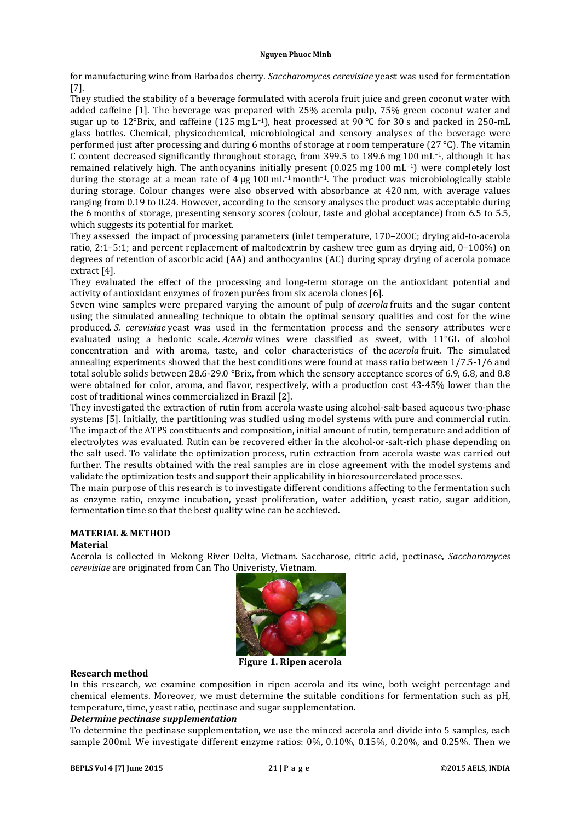for manufacturing wine from Barbados cherry. *Saccharomyces cerevisiae* yeast was used for fermentation [7]. 

They studied the stability of a beverage formulated with acerola fruit juice and green coconut water with added caffeine [1]. The beverage was prepared with 25% acerola pulp, 75% green coconut water and sugar up to 12°Brix, and caffeine  $(125 \text{ mg L}^{-1})$ , heat processed at 90 °C for 30 s and packed in 250-mL glass bottles. Chemical, physicochemical, microbiological and sensory analyses of the beverage were performed just after processing and during 6 months of storage at room temperature  $(27 °C)$ . The vitamin C content decreased significantly throughout storage, from 399.5 to 189.6 mg 100 mL<sup>-1</sup>, although it has remained relatively high. The anthocyanins initially present  $(0.025 \text{ mg } 100 \text{ mL}^{-1})$  were completely lost during the storage at a mean rate of  $4 \mu$ g 100 mL<sup>-1</sup> month<sup>-1</sup>. The product was microbiologically stable during storage. Colour changes were also observed with absorbance at 420 nm, with average values ranging from 0.19 to 0.24. However, according to the sensory analyses the product was acceptable during the  $6$  months of storage, presenting sensory scores (colour, taste and global acceptance) from  $6.5$  to  $5.5$ , which suggests its potential for market.

They assessed the impact of processing parameters (inlet temperature, 170–200C; drying aid-to-acerola ratio,  $2:1-5:1$ ; and percent replacement of maltodextrin by cashew tree gum as drying aid,  $0-100\%$ ) on degrees of retention of ascorbic acid (AA) and anthocyanins (AC) during spray drying of acerola pomace extract [4].

They evaluated the effect of the processing and long-term storage on the antioxidant potential and activity of antioxidant enzymes of frozen purées from six acerola clones [6].

Seven wine samples were prepared varying the amount of pulp of *acerola* fruits and the sugar content using the simulated annealing technique to obtain the optimal sensory qualities and cost for the wine produced. *S. cerevisiae* yeast was used in the fermentation process and the sensory attributes were evaluated using a hedonic scale. *Acerola* wines were classified as sweet, with 11°GL of alcohol concentration and with aroma, taste, and color characteristics of the *acerola* fruit. The simulated annealing experiments showed that the best conditions were found at mass ratio between  $1/7.5-1/6$  and total soluble solids between  $28.6-29.0$  °Brix, from which the sensory acceptance scores of 6.9, 6.8, and 8.8 were obtained for color, aroma, and flavor, respectively, with a production cost 43-45% lower than the cost of traditional wines commercialized in Brazil [2].

They investigated the extraction of rutin from acerola waste using alcohol-salt-based aqueous two-phase systems [5]. Initially, the partitioning was studied using model systems with pure and commercial rutin. The impact of the ATPS constituents and composition, initial amount of rutin, temperature and addition of electrolytes was evaluated. Rutin can be recovered either in the alcohol-or-salt-rich phase depending on the salt used. To validate the optimization process, rutin extraction from acerola waste was carried out further. The results obtained with the real samples are in close agreement with the model systems and validate the optimization tests and support their applicability in bioresourcerelated processes.

The main purpose of this research is to investigate different conditions affecting to the fermentation such as enzyme ratio, enzyme incubation, yeast proliferation, water addition, yeast ratio, sugar addition, fermentation time so that the best quality wine can be acchieved.

## **MATERIAL & METHOD**

#### **Material**

Acerola is collected in Mekong River Delta, Vietnam. Saccharose, citric acid, pectinase, *Saccharomyces cerevisiae* are originated from Can Tho Univeristy, Vietnam.



**Figure 1. Ripen acerola**

## **Research method**

In this research, we examine composition in ripen acerola and its wine, both weight percentage and chemical elements. Moreover, we must determine the suitable conditions for fermentation such as pH, temperature, time, yeast ratio, pectinase and sugar supplementation.

#### *Determine pectinase supplementation*

To determine the pectinase supplementation, we use the minced acerola and divide into 5 samples, each sample 200ml. We investigate different enzyme ratios:  $0\%$ ,  $0.10\%$ ,  $0.15\%$ ,  $0.20\%$ , and  $0.25\%$ . Then we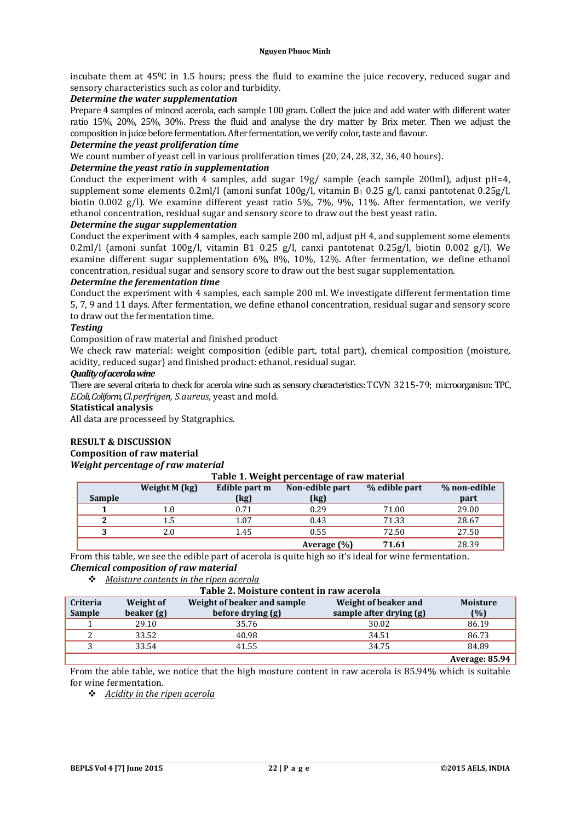incubate them at  $45^{\circ}$ C in 1.5 hours; press the fluid to examine the juice recovery, reduced sugar and sensory characteristics such as color and turbidity.

#### *Determine the water supplementation*

Prepare 4 samples of minced acerola, each sample 100 gram. Collect the juice and add water with different water ratio 15%, 20%, 25%, 30%. Press the fluid and analyse the dry matter by Brix meter. Then we adjust the composition in juice before fermentation. After fermentation, we verify color, taste and flavour.

#### *Determine the yeast proliferation time*

We count number of yeast cell in various proliferation times (20, 24, 28, 32, 36, 40 hours).

## *Determine the yeast ratio in supplementation*

Conduct the experiment with 4 samples, add sugar  $19g/$  sample (each sample 200ml), adjust  $pH=4$ , supplement some elements  $0.2$ ml/l (amoni sunfat  $100g/l$ , vitamin  $B_1$  0.25 g/l, canxi pantotenat  $0.25g/l$ , biotin 0.002  $g/$ ). We examine different yeast ratio 5%, 7%, 9%, 11%. After fermentation, we verify ethanol concentration, residual sugar and sensory score to draw out the best veast ratio.

## *Determine the sugar supplementation*

Conduct the experiment with 4 samples, each sample 200 ml, adjust pH 4, and supplement some elements 0.2ml/l (amoni sunfat 100g/l, vitamin B1 0.25 g/l, canxi pantotenat 0.25g/l, biotin 0.002 g/l). We examine different sugar supplementation 6%, 8%, 10%, 12%. After fermentation, we define ethanol concentration, residual sugar and sensory score to draw out the best sugar supplementation.

## *Determine the ferementation time*

Conduct the experiment with 4 samples, each sample 200 ml. We investigate different fermentation time 5, 7, 9 and 11 days. After fermentation, we define ethanol concentration, residual sugar and sensory score to draw out the fermentation time.

#### *Testing*

Composition of raw material and finished product

We check raw material: weight composition (edible part, total part), chemical composition (moisture, acidity, reduced sugar) and finished product: ethanol, residual sugar.

#### *Qualityofacerolawine*

There are several criteria to check for acerola wine such as sensory characteristics: TCVN 3215-79; microorganism: TPC, *E.Coli, Coliform, Cl.perfrigen, S.aureus, yeast and mold.* 

## **Statistical analysis**

All data are processeed by Statgraphics.

## **RESULT & DISCUSSION**

#### **Composition of raw material** *Weight percentage of raw material*

#### **Table 1. Weight percentage of raw material**

|               | Weight M (kg) | Edible part m | Non-edible part | % edible part | % non-edible |
|---------------|---------------|---------------|-----------------|---------------|--------------|
| <b>Sample</b> |               | (kg)          | (kg)            |               | part         |
|               | 1.0           | 0.71          | 0.29            | 71.00         | 29.00        |
|               | 1.5           | 1.07          | 0.43            | 71.33         | 28.67        |
|               | 2.0           | 1.45          | 0.55            | 72.50         | 27.50        |
|               |               |               | Average (%)     | 71.61         | 28.39        |

From this table, we see the edible part of acerola is quite high so it's ideal for wine fermentation. *Chemical composition of raw material*

#### *Moisture contents in the ripen acerola*

| Table 2. Moisture content in raw acerola |            |                             |                         |                 |  |
|------------------------------------------|------------|-----------------------------|-------------------------|-----------------|--|
| <b>Criteria</b>                          | Weight of  | Weight of beaker and sample | Weight of beaker and    | <b>Moisture</b> |  |
| <b>Sample</b>                            | beaker (g) | before drying (g)           | sample after drying (g) | (%)             |  |
|                                          | 29.10      | 35.76                       | 30.02                   | 86.19           |  |
|                                          | 33.52      | 40.98                       | 34.51                   | 86.73           |  |
|                                          | 33.54      | 41.55                       | 34.75                   | 84.89           |  |

**Average: 85.94**

From the able table, we notice that the high mosture content in raw acerola is 85.94% which is suitable for wine fermentation.

*Acidity in the ripen acerola*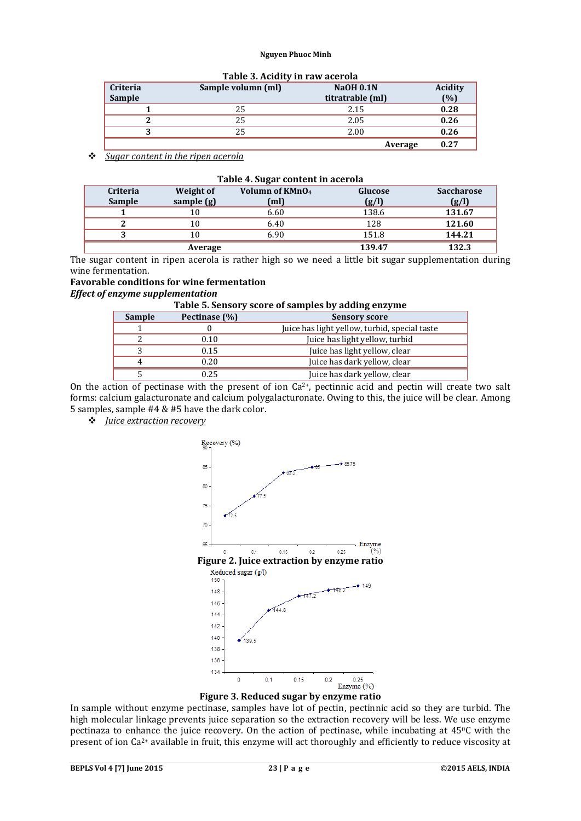| Table 5. Actuity in faw acefula |                    |                  |         |
|---------------------------------|--------------------|------------------|---------|
| <b>Criteria</b>                 | Sample volumn (ml) | <b>NaOH 0.1N</b> | Acidity |
| <b>Sample</b>                   |                    | titratrable (ml) | (%)     |
|                                 | 25                 | 2.15             | 0.28    |
|                                 | 25                 | 2.05             | 0.26    |
|                                 | 25                 | 2.00             | 0.26    |
|                                 |                    | Average          | 0.27    |

#### **Table 3. Acidity in raw acerola**

*Sugar content in the ripen acerola*

| Table 4. Sugar content in acerola |                         |                                                  |                  |                            |
|-----------------------------------|-------------------------|--------------------------------------------------|------------------|----------------------------|
| <b>Criteria</b><br><b>Sample</b>  | Weight of<br>sample (g) | Volumn of KMnO <sub>4</sub><br>(m <sub>l</sub> ) | Glucose<br>(g/l) | <b>Saccharose</b><br>(g/l) |
|                                   |                         |                                                  |                  |                            |
|                                   | 10                      | 6.60                                             | 138.6            | 131.67                     |
|                                   | 10                      | 6.40                                             | 128              | 121.60                     |
| 2                                 | 10                      | 6.90                                             | 151.8            | 144.21                     |
|                                   | Average                 |                                                  | 139.47           | 132.3                      |

The sugar content in ripen acerola is rather high so we need a little bit sugar supplementation during wine fermentation.

## **Favorable conditions for wine fermentation**

*Effect of enzyme supplementation*

## **Table 5. Sensory score of samples by adding enzyme**

| <b>Sample</b> | Pectinase (%) | <b>Sensory score</b>                          |
|---------------|---------------|-----------------------------------------------|
|               |               | Juice has light yellow, turbid, special taste |
|               | 0.10          | Juice has light yellow, turbid                |
|               | 0.15          | Juice has light yellow, clear                 |
| 4             | 0.20          | Juice has dark yellow, clear                  |
|               | 0.25          | Juice has dark yellow, clear                  |

On the action of pectinase with the present of ion  $Ca^{2+}$ , pectinnic acid and pectin will create two salt forms: calcium galacturonate and calcium polygalacturonate. Owing to this, the juice will be clear. Among 5 samples, sample  $#4 \& #5$  have the dark color.

*Juice extraction recovery*



**Figure 3. Reduced sugar by enzyme ratio**

In sample without enzyme pectinase, samples have lot of pectin, pectinnic acid so they are turbid. The high molecular linkage prevents juice separation so the extraction recovery will be less. We use enzyme pectinaza to enhance the juice recovery. On the action of pectinase, while incubating at 45<sup>o</sup>C with the present of ion Ca<sup>2+</sup> available in fruit, this enzyme will act thoroughly and efficiently to reduce viscosity at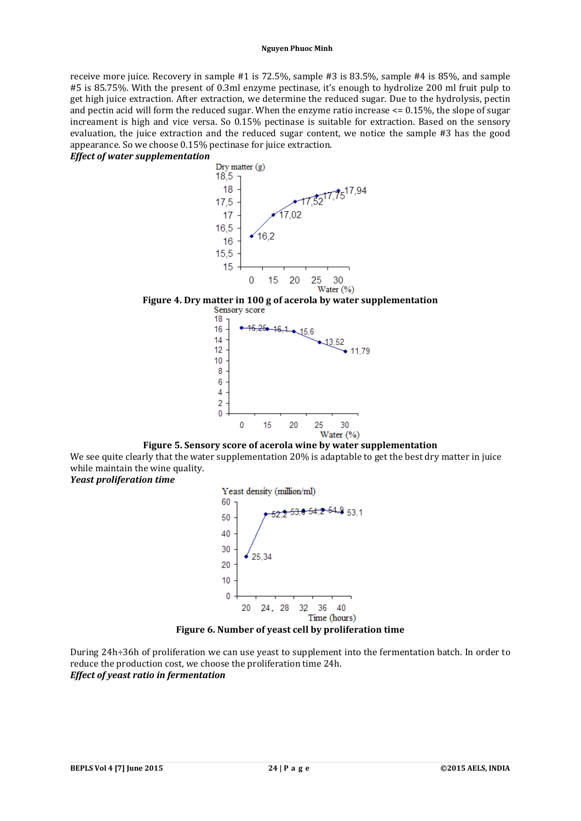receive more juice. Recovery in sample  $#1$  is  $72.5\%$ , sample  $#3$  is  $83.5\%$ , sample  $#4$  is  $85\%$ , and sample #5 is 85.75%. With the present of 0.3ml enzyme pectinase, it's enough to hydrolize 200 ml fruit pulp to get high juice extraction. After extraction, we determine the reduced sugar. Due to the hydrolysis, pectin and pectin acid will form the reduced sugar. When the enzyme ratio increase  $\leq$  0.15%, the slope of sugar increament is high and vice versa. So 0.15% pectinase is suitable for extraction. Based on the sensory evaluation, the juice extraction and the reduced sugar content, we notice the sample #3 has the good appearance. So we choose 0.15% pectinase for juice extraction.

*Effect of water supplementation*



# **Figure 4. Dry matter in 100 g of acerola by water supplementation**



**Figure 5. Sensory score of acerola wine by water supplementation** We see quite clearly that the water supplementation 20% is adaptable to get the best dry matter in juice while maintain the wine quality.

*Yeast proliferation time*



#### **Figure 6. Number of yeast cell by proliferation time**

During 24h÷36h of proliferation we can use yeast to supplement into the fermentation batch. In order to reduce the production cost, we choose the proliferation time 24h. *Effect of yeast ratio in fermentation*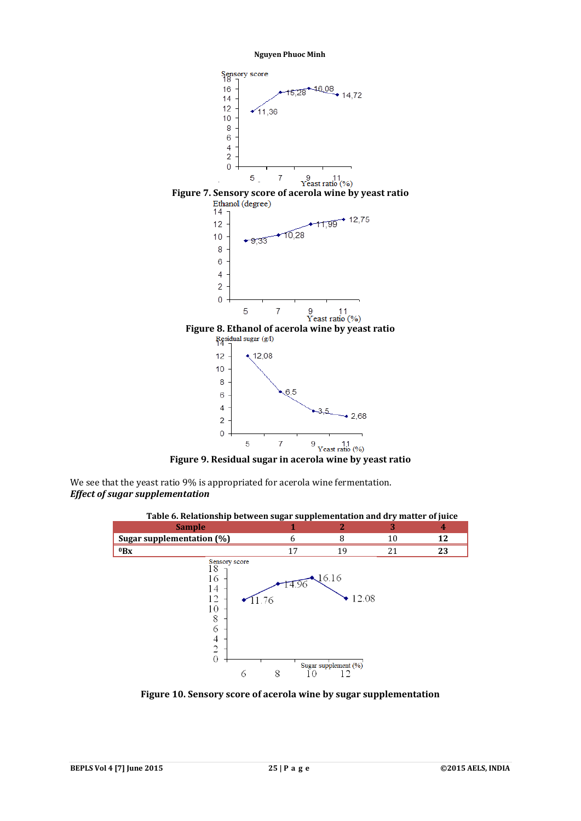



We see that the yeast ratio 9% is appropriated for acerola wine fermentation. *Effect of sugar supplementation*



**Figure 10. Sensory score of acerola wine by sugar supplementation**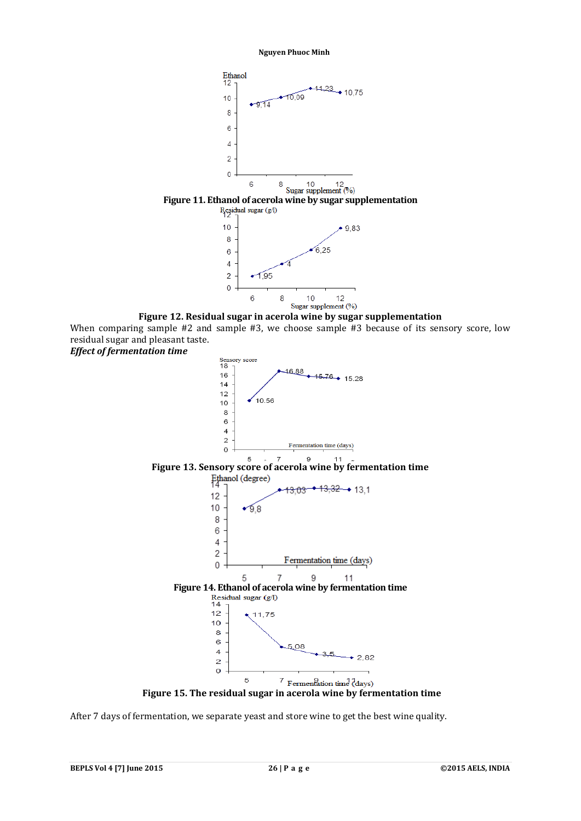

**Figure 12. Residual sugar in acerola wine by sugar supplementation** When comparing sample  $#2$  and sample  $#3$ , we choose sample  $#3$  because of its sensory score, low residual sugar and pleasant taste. *Effect of fermentation time*



**Figure 15. The residual sugar in acerola wine by fermentation time**

After 7 days of fermentation, we separate yeast and store wine to get the best wine quality.